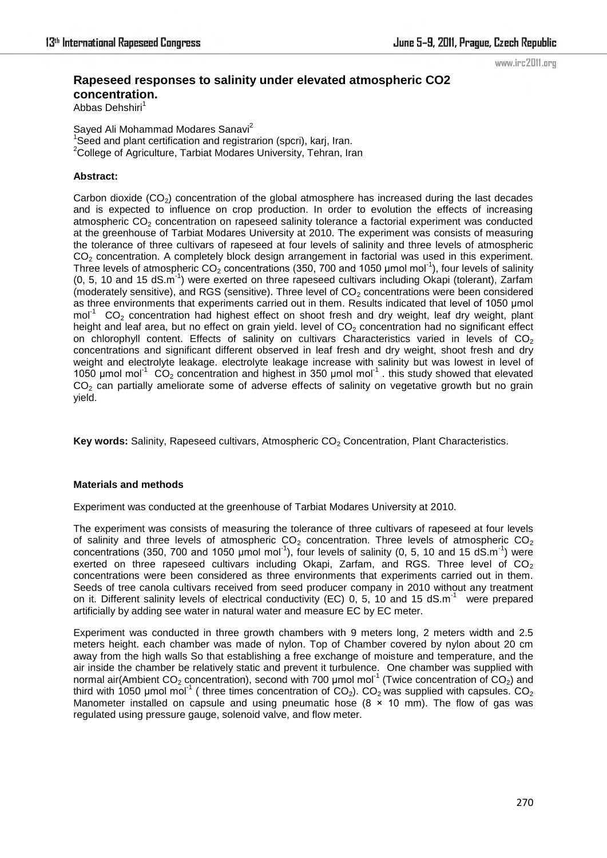www.irc2011.org

# **Rapeseed responses to salinity under elevated atmospheric CO2 concentration.**

Abbas Dehshiri<sup>1</sup>

Sayed Ali Mohammad Modares Sanavi<sup>2</sup> <sup>1</sup>Seed and plant certification and registrarion (spcri), karj, Iran. <sup>2</sup>College of Agriculture, Tarbiat Modares University, Tehran, Iran

## **Abstract:**

Carbon dioxide  $(CO<sub>2</sub>)$  concentration of the global atmosphere has increased during the last decades and is expected to influence on crop production. In order to evolution the effects of increasing atmospheric CO<sub>2</sub> concentration on rapeseed salinity tolerance a factorial experiment was conducted at the greenhouse of Tarbiat Modares University at 2010. The experiment was consists of measuring the tolerance of three cultivars of rapeseed at four levels of salinity and three levels of atmospheric CO<sub>2</sub> concentration. A completely block design arrangement in factorial was used in this experiment. Three levels of atmospheric  $CO<sub>2</sub>$  concentrations (350, 700 and 1050 µmol mol<sup>-1</sup>), four levels of salinity  $(0, 5, 10 \text{ and } 15 \text{ dS.m}^{-1})$  were exerted on three rapeseed cultivars including Okapi (tolerant), Zarfam (moderately sensitive), and RGS (sensitive). Three level of  $CO<sub>2</sub>$  concentrations were been considered as three environments that experiments carried out in them. Results indicated that level of 1050 µmol mol<sup>-1</sup> CO<sub>2</sub> concentration had highest effect on shoot fresh and dry weight, leaf dry weight, plant height and leaf area, but no effect on grain yield. level of  $CO<sub>2</sub>$  concentration had no significant effect on chlorophyll content. Effects of salinity on cultivars Characteristics varied in levels of  $CO<sub>2</sub>$ concentrations and significant different observed in leaf fresh and dry weight, shoot fresh and dry weight and electrolyte leakage. electrolyte leakage increase with salinity but was lowest in level of 1050 µmol mol<sup>-1</sup> CO<sub>2</sub> concentration and highest in 350 µmol mol<sup>-1</sup>. this study showed that elevated CO<sub>2</sub> can partially ameliorate some of adverse effects of salinity on vegetative growth but no grain yield.

**Key words:** Salinity, Rapeseed cultivars, Atmospheric CO<sub>2</sub> Concentration, Plant Characteristics.

## **Materials and methods**

Experiment was conducted at the greenhouse of Tarbiat Modares University at 2010.

The experiment was consists of measuring the tolerance of three cultivars of rapeseed at four levels of salinity and three levels of atmospheric  $CO<sub>2</sub>$  concentration. Three levels of atmospheric  $CO<sub>2</sub>$ concentrations (350, 700 and 1050 µmol mol<sup>-1</sup>), four levels of salinity (0, 5, 10 and 15 dS.m<sup>-1</sup>) were exerted on three rapeseed cultivars including Okapi, Zarfam, and RGS. Three level of  $CO<sub>2</sub>$ concentrations were been considered as three environments that experiments carried out in them. Seeds of tree canola cultivars received from seed producer company in 2010 without any treatment on it. Different salinity levels of electrical conductivity (EC) 0, 5, 10 and 15 dS.m<sup>-1</sup> were prepared artificially by adding see water in natural water and measure EC by EC meter.

Experiment was conducted in three growth chambers with 9 meters long, 2 meters width and 2.5 meters height. each chamber was made of nylon. Top of Chamber covered by nylon about 20 cm away from the high walls So that establishing a free exchange of moisture and temperature, and the air inside the chamber be relatively static and prevent it turbulence. One chamber was supplied with normal air(Ambient CO<sub>2</sub> concentration), second with 700 µmol mol<sup>-1</sup> (Twice concentration of CO<sub>2</sub>) and third with 1050 µmol mol<sup>-1</sup> ( three times concentration of  $CO<sub>2</sub>$ ).  $CO<sub>2</sub>$  was supplied with capsules.  $CO<sub>2</sub>$ Manometer installed on capsule and using pneumatic hose  $(8 \times 10 \text{ mm})$ . The flow of gas was regulated using pressure gauge, solenoid valve, and flow meter.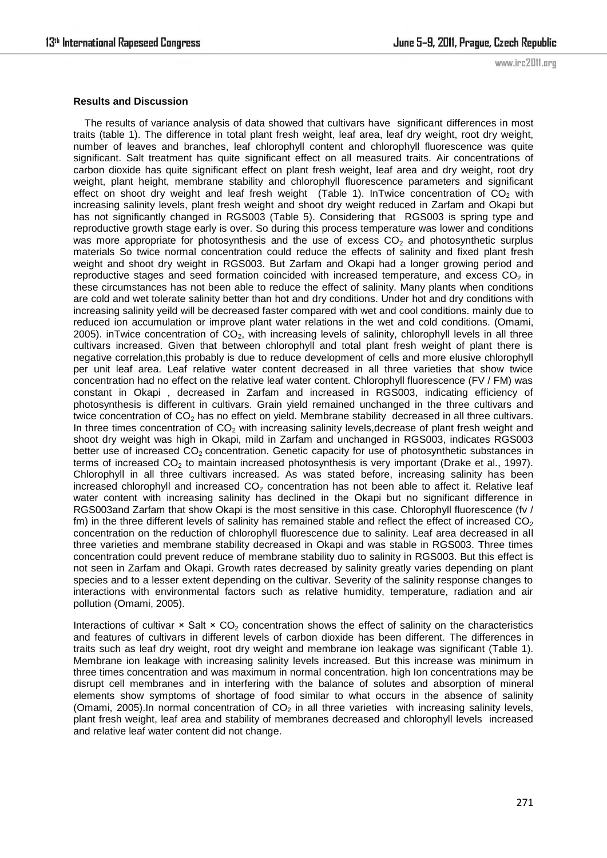www.irc2011.org

### **Results and Discussion**

 The results of variance analysis of data showed that cultivars have significant differences in most traits (table 1). The difference in total plant fresh weight, leaf area, leaf dry weight, root dry weight, number of leaves and branches, leaf chlorophyll content and chlorophyll fluorescence was quite significant. Salt treatment has quite significant effect on all measured traits. Air concentrations of carbon dioxide has quite significant effect on plant fresh weight, leaf area and dry weight, root dry weight, plant height, membrane stability and chlorophyll fluorescence parameters and significant effect on shoot dry weight and leaf fresh weight (Table 1). InTwice concentration of  $CO<sub>2</sub>$  with increasing salinity levels, plant fresh weight and shoot dry weight reduced in Zarfam and Okapi but has not significantly changed in RGS003 (Table 5). Considering that RGS003 is spring type and reproductive growth stage early is over. So during this process temperature was lower and conditions was more appropriate for photosynthesis and the use of excess  $CO<sub>2</sub>$  and photosynthetic surplus materials So twice normal concentration could reduce the effects of salinity and fixed plant fresh weight and shoot dry weight in RGS003. But Zarfam and Okapi had a longer growing period and reproductive stages and seed formation coincided with increased temperature, and excess  $CO<sub>2</sub>$  in these circumstances has not been able to reduce the effect of salinity. Many plants when conditions are cold and wet tolerate salinity better than hot and dry conditions. Under hot and dry conditions with increasing salinity yeild will be decreased faster compared with wet and cool conditions. mainly due to reduced ion accumulation or improve plant water relations in the wet and cold conditions. (Omami, 2005). inTwice concentration of  $CO<sub>2</sub>$ , with increasing levels of salinity, chlorophyll levels in all three cultivars increased. Given that between chlorophyll and total plant fresh weight of plant there is negative correlation,this probably is due to reduce development of cells and more elusive chlorophyll per unit leaf area. Leaf relative water content decreased in all three varieties that show twice concentration had no effect on the relative leaf water content. Chlorophyll fluorescence (FV / FM) was constant in Okapi , decreased in Zarfam and increased in RGS003, indicating efficiency of photosynthesis is different in cultivars. Grain yield remained unchanged in the three cultivars and twice concentration of  $CO<sub>2</sub>$  has no effect on yield. Membrane stability decreased in all three cultivars. In three times concentration of  $CO<sub>2</sub>$  with increasing salinity levels, decrease of plant fresh weight and shoot dry weight was high in Okapi, mild in Zarfam and unchanged in RGS003, indicates RGS003 better use of increased  $CO<sub>2</sub>$  concentration. Genetic capacity for use of photosynthetic substances in terms of increased  $CO<sub>2</sub>$  to maintain increased photosynthesis is very important (Drake et al., 1997). Chlorophyll in all three cultivars increased. As was stated before, increasing salinity has been increased chlorophyll and increased  $CO<sub>2</sub>$  concentration has not been able to affect it. Relative leaf water content with increasing salinity has declined in the Okapi but no significant difference in RGS003and Zarfam that show Okapi is the most sensitive in this case. Chlorophyll fluorescence (fv / fm) in the three different levels of salinity has remained stable and reflect the effect of increased  $CO<sub>2</sub>$ concentration on the reduction of chlorophyll fluorescence due to salinity. Leaf area decreased in all three varieties and membrane stability decreased in Okapi and was stable in RGS003. Three times concentration could prevent reduce of membrane stability duo to salinity in RGS003. But this effect is not seen in Zarfam and Okapi. Growth rates decreased by salinity greatly varies depending on plant species and to a lesser extent depending on the cultivar. Severity of the salinity response changes to interactions with environmental factors such as relative humidity, temperature, radiation and air pollution (Omami, 2005).

Interactions of cultivar  $\times$  Salt  $\times$  CO<sub>2</sub> concentration shows the effect of salinity on the characteristics and features of cultivars in different levels of carbon dioxide has been different. The differences in traits such as leaf dry weight, root dry weight and membrane ion leakage was significant (Table 1). Membrane ion leakage with increasing salinity levels increased. But this increase was minimum in three times concentration and was maximum in normal concentration. high Ion concentrations may be disrupt cell membranes and in interfering with the balance of solutes and absorption of mineral elements show symptoms of shortage of food similar to what occurs in the absence of salinity (Omami, 2005).In normal concentration of  $CO<sub>2</sub>$  in all three varieties with increasing salinity levels, plant fresh weight, leaf area and stability of membranes decreased and chlorophyll levels increased and relative leaf water content did not change.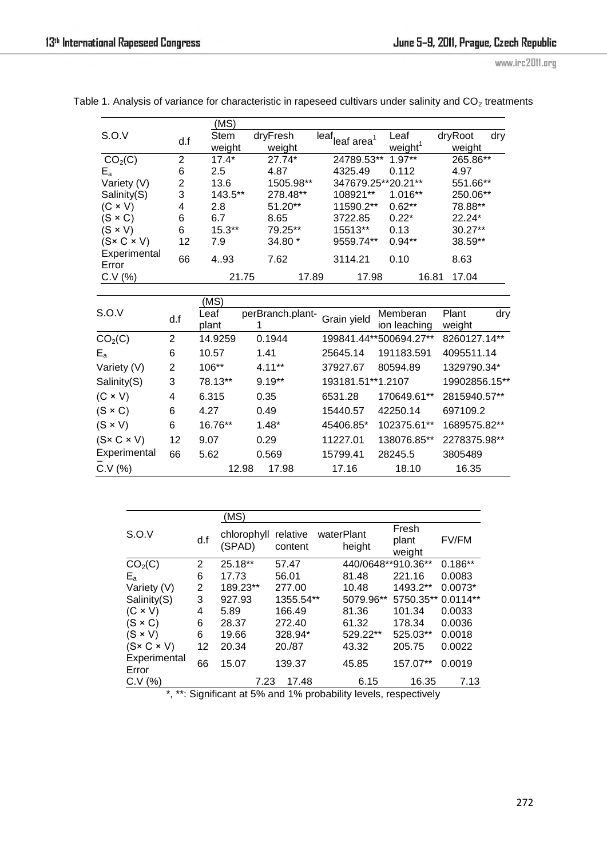www.irc2011.org

|                         |                | (MS)     |           |                    |                     |                |
|-------------------------|----------------|----------|-----------|--------------------|---------------------|----------------|
| S.O.V                   | d.f            | Stem     | dryFresh  | leaf<br>leaf area  | Leaf                | dryRoot<br>dry |
|                         |                | weight   | weight    |                    | weight <sup>1</sup> | weight         |
| CO <sub>2</sub> (C)     | $\overline{2}$ | $17.4*$  | 27.74*    | 24789.53**         | $1.97**$            | 265.86**       |
| $E_{a}$                 | 6              | 2.5      | 4.87      | 4325.49            | 0.112               | 4.97           |
| Variety (V)             | 2              | 13.6     | 1505.98** | 347679.25**20.21** |                     | 551.66**       |
| Salinity(S)             | 3              | 143.5**  | 278.48**  | 108921**           | $1.016**$           | 250.06**       |
| $(C \times V)$          | 4              | 2.8      | 51.20**   | 11590.2**          | $0.62**$            | 78.88**        |
| $(S \times C)$          | 6              | 6.7      | 8.65      | 3722.85            | $0.22*$             | $22.24*$       |
| $(S \times V)$          | 6              | $15.3**$ | 79.25**   | 15513**            | 0.13                | $30.27**$      |
| $(S \times C \times V)$ | 12             | 7.9      | 34.80 *   | 9559.74**          | $0.94**$            | 38.59**        |
| Experimental            | 66             | 4.93     | 7.62      | 3114.21            | 0.10                | 8.63           |
| Error                   |                |          |           |                    |                     |                |
| C.V (%)                 |                | 21.75    | 17.89     | 17.98              | 16.81               | 17.04          |

Table 1. Analysis of variance for characteristic in rapeseed cultivars under salinity and  $CO<sub>2</sub>$  treatments

|                         |                | (MS)    |                  |                   |                        |               |
|-------------------------|----------------|---------|------------------|-------------------|------------------------|---------------|
| S.O.V                   | d.f            | Leaf    | perBranch.plant- | Grain yield       | Memberan               | dry<br>Plant  |
|                         |                | plant   |                  |                   | ion leaching           | weight        |
| CO <sub>2</sub> (C)     | $\overline{2}$ | 14.9259 | 0.1944           |                   | 199841.44**500694.27** | 8260127.14**  |
| $E_{a}$                 | 6              | 10.57   | 1.41             | 25645.14          | 191183.591             | 4095511.14    |
| Variety (V)             | 2              | $106**$ | $4.11***$        | 37927.67          | 80594.89               | 1329790.34*   |
| Salinity(S)             | 3              | 78.13** | $9.19**$         | 193181.51**1.2107 |                        | 19902856.15** |
| $(C \times V)$          | 4              | 6.315   | 0.35             | 6531.28           | 170649.61**            | 2815940.57**  |
| $(S \times C)$          | 6              | 4.27    | 0.49             | 15440.57          | 42250.14               | 697109.2      |
| $(S \times V)$          | 6              | 16.76** | $1.48*$          | 45406.85*         | 102375.61**            | 1689575.82**  |
| $(S \times C \times V)$ | 12             | 9.07    | 0.29             | 11227.01          | 138076.85**            | 2278375.98**  |
| Experimental            | 66             | 5.62    | 0.569            | 15799.41          | 28245.5                | 3805489       |
| C.V (%)                 |                |         | 17.98<br>12.98   | 17.16             | 18.10                  | 16.35         |

|                                                                                    |     | (MS)                  |                     |            |                    |                          |              |
|------------------------------------------------------------------------------------|-----|-----------------------|---------------------|------------|--------------------|--------------------------|--------------|
| S.O.V                                                                              | d.f | chlorophyll<br>(SPAD) | relative<br>content | waterPlant | height             | Fresh<br>plant<br>weight | <b>FV/FM</b> |
| CO <sub>2</sub> (C)                                                                | 2   | 25.18**               | 57.47               |            | 440/0648**910.36** |                          | $0.186**$    |
| $E_{a}$                                                                            | 6   | 17.73                 | 56.01               |            | 81.48              | 221.16                   | 0.0083       |
| Variety (V)                                                                        | 2   | 189.23**              | 277.00              |            | 10.48              | 1493.2**                 | $0.0073*$    |
| Salinity(S)                                                                        | 3   | 927.93                | 1355.54**           |            | 5079.96**          | 5750.35**                | $0.0114**$   |
| $(C \times V)$                                                                     | 4   | 5.89                  | 166.49              |            | 81.36              | 101.34                   | 0.0033       |
| $(S \times C)$                                                                     | 6   | 28.37                 | 272.40              |            | 61.32              | 178.34                   | 0.0036       |
| $(S \times V)$                                                                     | 6   | 19.66                 | 328.94*             |            | 529.22**           | 525.03**                 | 0.0018       |
| $(S \times C \times V)$                                                            | 12  | 20.34                 | 20./87              |            | 43.32              | 205.75                   | 0.0022       |
| Experimental<br>Error                                                              | 66  | 15.07                 | 139.37              |            | 45.85              | 157.07**                 | 0.0019       |
| C.V (%)                                                                            |     | 7.23                  | 17.48               |            | 6.15               | 16.35                    | 7.13         |
| $\star$<br>$**$ , Cianificant of $E_0$ and $40$ probability lovels, representively |     |                       |                     |            |                    |                          |              |

\*, \*\*: Significant at 5% and 1% probability levels, respectively